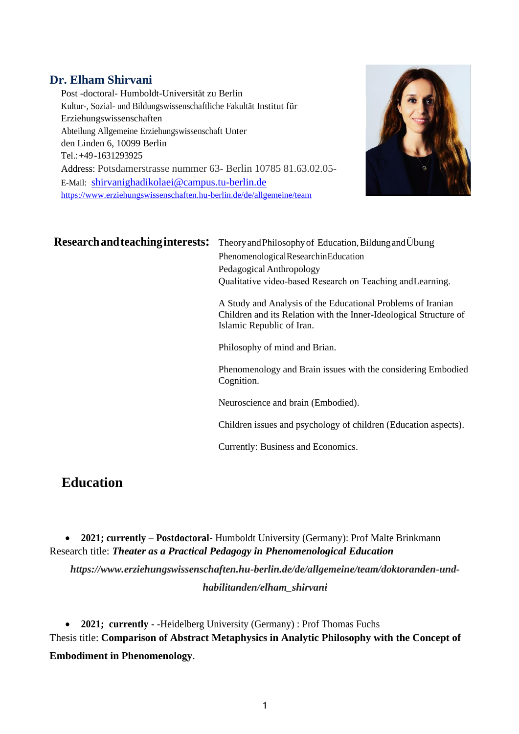#### **Dr. Elham Shirvani**

Post -doctoral- Humboldt-Universität zu Berlin Kultur-, Sozial- und Bildungswissenschaftliche Fakultät Institut für Erziehungswissenschaften Abteilung Allgemeine Erziehungswissenschaft Unter den Linden 6, 10099 Berlin Tel.:+49-1631293925 Address: Potsdamerstrasse nummer 63- Berlin 10785 81.63.02.05- E-Mail: [shirvanighadikolaei@campus.tu-berlin.de](mailto:shirvanighadikolaei@campus.tu-berlin.de) <https://www.erziehungswissenschaften.hu-berlin.de/de/allgemeine/team>



## **Research and teaching interests:** Theory and Philosophy of Education, Bildung and Übung

PhenomenologicalResearchinEducation Pedagogical Anthropology Qualitative video‐based Research on Teaching andLearning.

A Study and Analysis of the Educational Problems of Iranian Children and its Relation with the Inner-Ideological Structure of Islamic Republic of Iran.

Philosophy of mind and Brian.

Phenomenology and Brain issues with the considering Embodied Cognition.

Neuroscience and brain (Embodied).

Children issues and psychology of children (Education aspects).

Currently: Business and Economics.

# **Education**

• **2021; currently – Postdoctoral-** Humboldt University (Germany): Prof Malte Brinkmann Research title: *Theater as a Practical Pedagogy in Phenomenological Education*

*https://www.erziehungswissenschaften.hu-berlin.de/de/allgemeine/team/doktoranden-undhabilitanden/elham\_shirvani*

• **2021; currently -** -Heidelberg University (Germany) : Prof Thomas Fuchs Thesis title: **Comparison of Abstract Metaphysics in Analytic Philosophy with the Concept of Embodiment in Phenomenology**.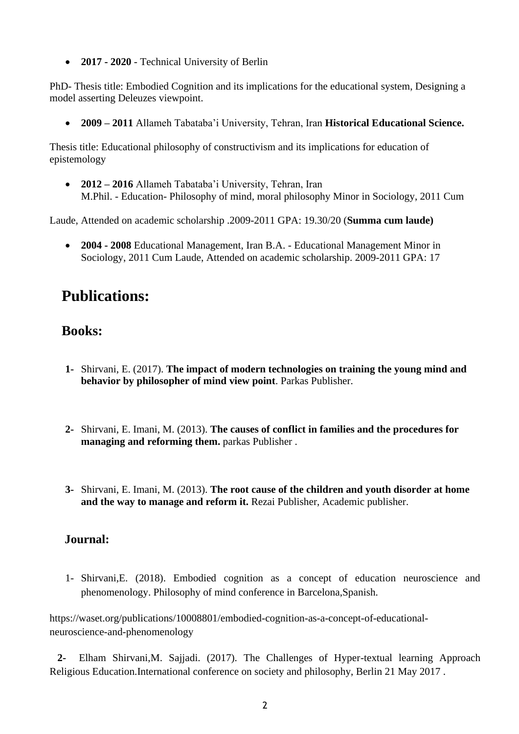• **2017 - 2020** - Technical University of Berlin

PhD- Thesis title: Embodied Cognition and its implications for the educational system, Designing a model asserting Deleuzes viewpoint.

• **2009 – 2011** Allameh Tabataba'i University, Tehran, Iran **Historical Educational Science.** 

Thesis title: Educational philosophy of constructivism and its implications for education of epistemology

• **2012 – 2016** Allameh Tabataba'i University, Tehran, Iran M.Phil. - Education- Philosophy of mind, moral philosophy Minor in Sociology, 2011 Cum

Laude, Attended on academic scholarship .2009-2011 GPA: 19.30/20 (**Summa cum laude)**

• **2004 - 2008** Educational Management, Iran B.A. - Educational Management Minor in Sociology, 2011 Cum Laude, Attended on academic scholarship. 2009-2011 GPA: 17

# **Publications:**

# **Books:**

- **1-** Shirvani, E. (2017). **The impact of modern technologies on training the young mind and behavior by philosopher of mind view point**. Parkas Publisher.
- **2-** Shirvani, E. Imani, M. (2013). **The causes of conflict in families and the procedures for managing and reforming them.** parkas Publisher .
- **3-** Shirvani, E. Imani, M. (2013). **The root cause of the children and youth disorder at home and the way to manage and reform it.** Rezai Publisher, Academic publisher.

## **Journal:**

1- Shirvani,E. (2018). Embodied cognition as a concept of education neuroscience and phenomenology. Philosophy of mind conference in Barcelona,Spanish.

https://waset.org/publications/10008801/embodied-cognition-as-a-concept-of-educationalneuroscience-and-phenomenology

 **2-** Elham Shirvani,M. Sajjadi. (2017). The Challenges of Hyper-textual learning Approach Religious Education.International conference on society and philosophy, Berlin 21 May 2017 .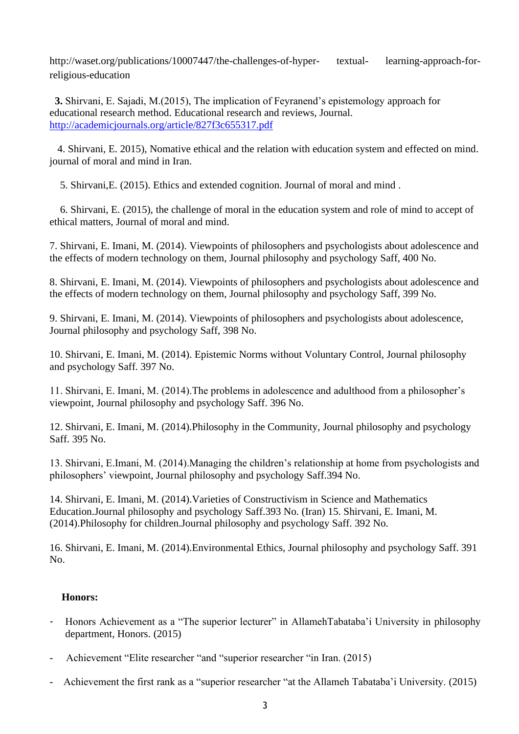http://waset.org/publications/10007447/the-challenges-of-hyper- textual- learning-approach-forreligious-education

 **3.** Shirvani, E. Sajadi, M.(2015), The implication of Feyranend's epistemology approach for educational research method. Educational research and reviews, Journal. <http://academicjournals.org/article/827f3c655317.pdf>

 4. Shirvani, E. 2015), Nomative ethical and the relation with education system and effected on mind. journal of moral and mind in Iran.

5. Shirvani,E. (2015). Ethics and extended cognition. Journal of moral and mind .

 6. Shirvani, E. (2015), the challenge of moral in the education system and role of mind to accept of ethical matters, Journal of moral and mind.

7. Shirvani, E. Imani, M. (2014). Viewpoints of philosophers and psychologists about adolescence and the effects of modern technology on them, Journal philosophy and psychology Saff, 400 No.

8. Shirvani, E. Imani, M. (2014). Viewpoints of philosophers and psychologists about adolescence and the effects of modern technology on them, Journal philosophy and psychology Saff, 399 No.

9. Shirvani, E. Imani, M. (2014). Viewpoints of philosophers and psychologists about adolescence, Journal philosophy and psychology Saff, 398 No.

10. Shirvani, E. Imani, M. (2014). Epistemic Norms without Voluntary Control, Journal philosophy and psychology Saff. 397 No.

11. Shirvani, E. Imani, M. (2014).The problems in adolescence and adulthood from a philosopher's viewpoint, Journal philosophy and psychology Saff. 396 No.

12. Shirvani, E. Imani, M. (2014).Philosophy in the Community, Journal philosophy and psychology Saff. 395 No.

13. Shirvani, E.Imani, M. (2014).Managing the children's relationship at home from psychologists and philosophers' viewpoint, Journal philosophy and psychology Saff.394 No.

14. Shirvani, E. Imani, M. (2014).Varieties of Constructivism in Science and Mathematics Education.Journal philosophy and psychology Saff.393 No. (Iran) 15. Shirvani, E. Imani, M. (2014).Philosophy for children.Journal philosophy and psychology Saff. 392 No.

16. Shirvani, E. Imani, M. (2014).Environmental Ethics, Journal philosophy and psychology Saff. 391 No.

#### **Honors:**

- Honors Achievement as a "The superior lecturer" in AllamehTabataba'i University in philosophy department, Honors. (2015)
- Achievement "Elite researcher "and "superior researcher "in Iran. (2015)
- Achievement the first rank as a "superior researcher "at the Allameh Tabataba'i University. (2015)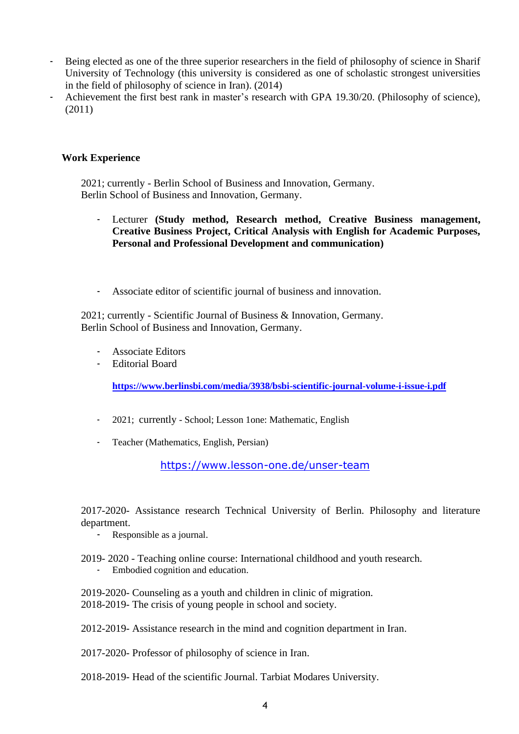- Being elected as one of the three superior researchers in the field of philosophy of science in Sharif University of Technology (this university is considered as one of scholastic strongest universities in the field of philosophy of science in Iran). (2014)
- Achievement the first best rank in master's research with GPA 19.30/20. (Philosophy of science), (2011)

#### **Work Experience**

2021; currently - Berlin School of Business and Innovation, Germany. Berlin School of Business and Innovation, Germany.

- Lecturer **(Study method, Research method, Creative Business management, Creative Business Project, Critical Analysis with English for Academic Purposes, Personal and Professional Development and communication)**
- Associate editor of scientific journal of business and innovation.

2021; currently - Scientific Journal of Business & Innovation, Germany. Berlin School of Business and Innovation, Germany.

- Associate Editors
- Editorial Board

**<https://www.berlinsbi.com/media/3938/bsbi-scientific-journal-volume-i-issue-i.pdf>**

- 2021; currently School; Lesson 1one: Mathematic, English
- Teacher (Mathematics, English, Persian)

<https://www.lesson-one.de/unser-team>

2017-2020- Assistance research Technical University of Berlin. Philosophy and literature department.

- Responsible as a journal.
- 2019- 2020 Teaching online course: International childhood and youth research.
	- Embodied cognition and education.

2019-2020- Counseling as a youth and children in clinic of migration. 2018-2019- The crisis of young people in school and society.

- 2012-2019- Assistance research in the mind and cognition department in Iran.
- 2017-2020- Professor of philosophy of science in Iran.
- 2018-2019- Head of the scientific Journal. Tarbiat Modares University.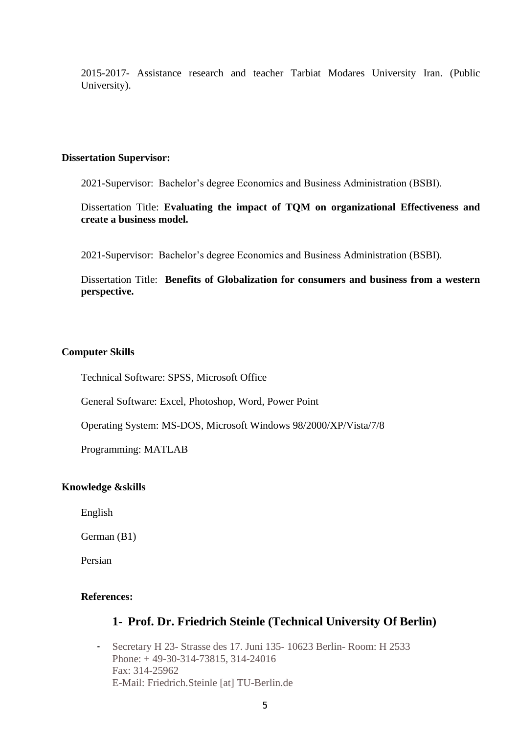2015-2017- Assistance research and teacher Tarbiat Modares University Iran. (Public University).

#### **Dissertation Supervisor:**

2021-Supervisor: Bachelor's degree Economics and Business Administration (BSBI).

Dissertation Title: **Evaluating the impact of TQM on organizational Effectiveness and create a business model.** 

2021-Supervisor: Bachelor's degree Economics and Business Administration (BSBI).

Dissertation Title: **Benefits of Globalization for consumers and business from a western perspective.**

#### **Computer Skills**

Technical Software: SPSS, Microsoft Office

General Software: Excel, Photoshop, Word, Power Point

Operating System: MS-DOS, Microsoft Windows 98/2000/XP/Vista/7/8

Programming: MATLAB

#### **Knowledge &skills**

English

German (B1)

Persian

#### **References:**

#### **1- Prof. Dr. Friedrich Steinle (Technical University Of Berlin)**

- Secretary H 23- Strasse des 17. Juni 135- 10623 Berlin- Room: H 2533 Phone: + 49-30-314-73815, 314-24016 Fax: 314-25962 E-Mail: Friedrich.Steinle [at] TU-Berlin.de